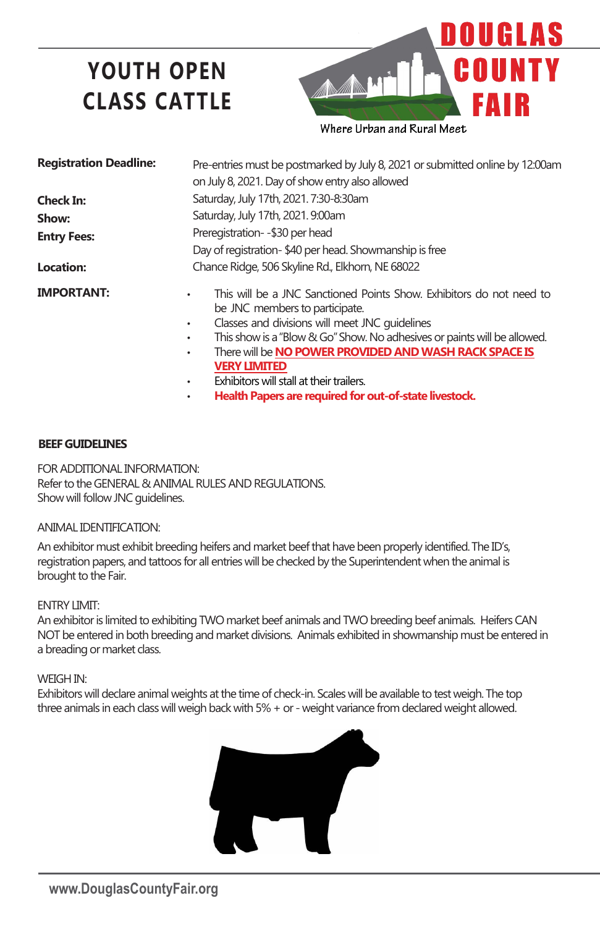# **YOUTH OPEN CLASS CATTLE**



| <b>Registration Deadline:</b> | Pre-entries must be postmarked by July 8, 2021 or submitted online by 12:00am<br>on July 8, 2021. Day of show entry also allowed                                                                                                                            |
|-------------------------------|-------------------------------------------------------------------------------------------------------------------------------------------------------------------------------------------------------------------------------------------------------------|
| <b>Check In:</b>              | Saturday, July 17th, 2021. 7:30-8:30am                                                                                                                                                                                                                      |
| Show:                         | Saturday, July 17th, 2021. 9:00am                                                                                                                                                                                                                           |
| <b>Entry Fees:</b>            | Preregistration- - \$30 per head<br>Day of registration-\$40 per head. Showmanship is free                                                                                                                                                                  |
| Location:                     | Chance Ridge, 506 Skyline Rd., Elkhorn, NE 68022                                                                                                                                                                                                            |
| <b>IMPORTANT:</b>             | This will be a JNC Sanctioned Points Show. Exhibitors do not need to<br>٠<br>be JNC members to participate.<br>Classes and divisions will meet JNC quidelines<br>$\bullet$<br>This show is a "Blow & Go" Show. No adhesives or paints will be allowed.<br>٠ |

- There will be **NO POWER PROVIDED ANDWASH RACK SPACE IS**
- **VERY LIMITED**
- Exhibitors will stall at their trailers.
- **Health Papers are required for out-of-state livestock.**

## **BEEF GUIDELINES**

FOR ADDITIONAL INFORMATION: Refer to the GENERAL & ANIMAL RULES AND REGULATIONS. Show will follow JNC guidelines.

### ANIMAL IDENTIFICATION:

An exhibitor must exhibit breeding heifers and market beef that have been properly identified.The ID's, registration papers, and tattoos for all entries will be checked by the Superintendent when the animal is brought to the Fair.

### ENTRY LIMIT:

An exhibitor is limited to exhibiting TWO market beef animals and TWO breeding beef animals. Heifers CAN NOT be entered in both breeding and market divisions. Animals exhibited in showmanship must be entered in a breading or market class.

### WEIGH IN:

Exhibitors will declare animal weights at the time of check-in. Scales will be available to test weigh. The top three animals in each class will weigh back with 5% + or - weight variance from declared weight allowed.

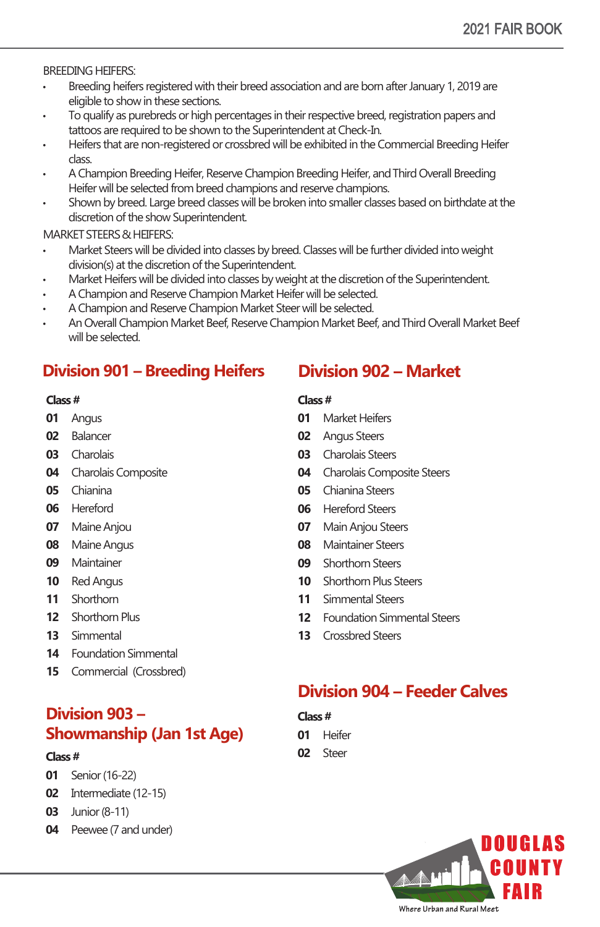BREEDING HEIFERS:

- Breeding heifers registered with their breed association and are born after January 1, 2019 are eligible to show in these sections.
- To qualify as purebreds or high percentages in their respective breed, registration papers and tattoos are required to be shown to the Superintendent at Check-In.
- Heifers that are non-registered or crossbred will be exhibited in the Commercial Breeding Heifer class.
- A Champion Breeding Heifer, Reserve Champion Breeding Heifer, and Third Overall Breeding Heifer will be selected from breed champions and reserve champions.
- Shown by breed. Large breed classes will be broken into smaller classes based on birthdate at the discretion of the show Superintendent.

MARKET STEERS & HEIFERS:

- Market Steers will be divided into classes by breed. Classes will be further divided into weight division(s) at the discretion of the Superintendent.
- Market Heifers will be divided into classes by weight at the discretion of the Superintendent.
- A Champion and Reserve Champion Market Heifer will be selected.
- A Champion and Reserve Champion Market Steer will be selected.
- An Overall Champion Market Beef, Reserve Champion Market Beef, and Third Overall Market Beef will be selected.

# **Division 901 – Breeding Heifers**

#### **Class #**

- **01** Angus
- **02** Balancer
- **03** Charolais
- **04** Charolais Composite
- **05** Chianina
- **06** Hereford
- **07** Maine Anjou
- **08** Maine Angus
- **09** Maintainer
- **10** Red Angus
- **11** Shorthorn
- **12** Shorthorn Plus
- **13** Simmental
- **14** Foundation Simmental
- **15** Commercial (Crossbred)

# **Division 903 – Showmanship (Jan 1st Age)**

#### **Class #**

- **01** Senior (16-22)
- **02** Intermediate (12-15)
- **03** Junior (8-11)
- **04** Peewee (7 and under)

# **Division 902 – Market**

#### **Class #**

- **01** Market Heifers
- **02** Angus Steers
- **03** Charolais Steers
- **04** Charolais Composite Steers
- **05** Chianina Steers
- **06** Hereford Steers
- **07** Main Anjou Steers
- **08** Maintainer Steers
- **09** Shorthorn Steers
- **10** Shorthorn Plus Steers
- **11** Simmental Steers
- **12** Foundation Simmental Steers
- **13** Crossbred Steers

# **Division 904 – Feeder Calves**

**Class #**

- **01** Heifer
- **02** Steer